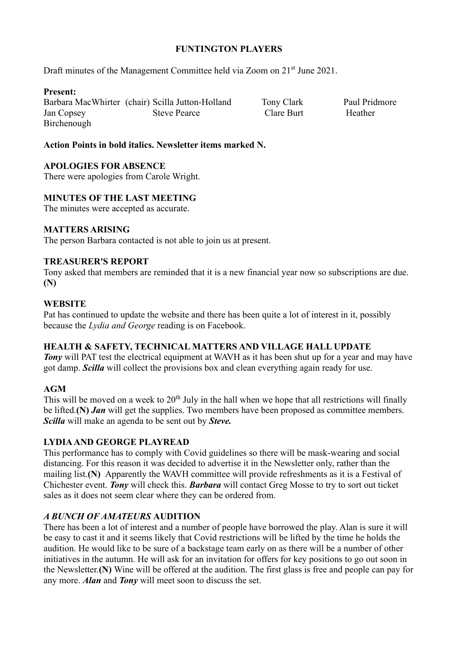## **FUNTINGTON PLAYERS**

Draft minutes of the Management Committee held via Zoom on 21<sup>st</sup> June 2021.

### **Present:**

Barbara MacWhirter (chair) Scilla Jutton-Holland Tony Clark Paul Pridmore Jan Copsey Steve Pearce Clare Burt Heather Birchenough

## **Action Points in bold italics. Newsletter items marked N.**

# **APOLOGIES FOR ABSENCE**

There were apologies from Carole Wright.

# **MINUTES OF THE LAST MEETING**

The minutes were accepted as accurate.

# **MATTERS ARISING**

The person Barbara contacted is not able to join us at present.

### **TREASURER'S REPORT**

Tony asked that members are reminded that it is a new financial year now so subscriptions are due. **(N)**

### **WEBSITE**

Pat has continued to update the website and there has been quite a lot of interest in it, possibly because the *Lydia and George* reading is on Facebook.

### **HEALTH & SAFETY, TECHNICAL MATTERS AND VILLAGE HALL UPDATE**

*Tony* will PAT test the electrical equipment at WAVH as it has been shut up for a year and may have got damp. *Scilla* will collect the provisions box and clean everything again ready for use.

### **AGM**

This will be moved on a week to  $20<sup>th</sup>$  July in the hall when we hope that all restrictions will finally be lifted.**(N)** *Jan* will get the supplies. Two members have been proposed as committee members. *Scilla* will make an agenda to be sent out by *Steve.*

### **LYDIA AND GEORGE PLAYREAD**

This performance has to comply with Covid guidelines so there will be mask-wearing and social distancing. For this reason it was decided to advertise it in the Newsletter only, rather than the mailing list.**(N)** Apparently the WAVH committee will provide refreshments as it is a Festival of Chichester event. *Tony* will check this. *Barbara* will contact Greg Mosse to try to sort out ticket sales as it does not seem clear where they can be ordered from.

### *A BUNCH OF AMATEURS* **AUDITION**

There has been a lot of interest and a number of people have borrowed the play. Alan is sure it will be easy to cast it and it seems likely that Covid restrictions will be lifted by the time he holds the audition. He would like to be sure of a backstage team early on as there will be a number of other initiatives in the autumn. He will ask for an invitation for offers for key positions to go out soon in the Newsletter.**(N)** Wine will be offered at the audition. The first glass is free and people can pay for any more. *Alan* and *Tony* will meet soon to discuss the set.